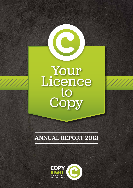

# annual report 2013

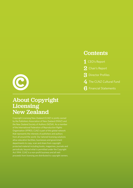

# About Copyright Licensing New Zealand

Copyright Licensing New Zealand (CLNZ) is jointly owned of the International Federation of Reproduction Rights Organisation (IFFRO), CLNZ is part of this global network from all around the world. Our tailored licensing solutions allow education facilities, businesses and government departments to copy, scan and share from copyright protected material including books, magazines, journals and periodicals; beyond what is permitted under the Copyright Act 1994. CLNZ is a non-profit business and all nett proceeds from licensing are distributed to copyright owners.

## **Contents**

- 1 CEO's Report
- 2 Chair's Report
- 3 Director Profiles
- 4 The CLNZ Cultural Fund
- 6 Financial Statements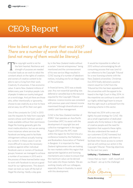# CEO's Report



### *How to best sum up the year that was 2013? There are a number of words that could be used (and not many of them would be literary).*

 $\blacksquare$  he copyright world is not for the faint hearted. Resilience and strength of purpose are needed in bucket loads as we work to rebut the constant attack on the rights of creators and owners of creative content to be able to earn a living from their work. Creativity IS a business. It has economic value. It earns New Zealand millions of dollars every year. It employs people. Lots of people. It makes our country look good on a world stage. And yet there are those who, either intentionally or ignorantly, choose to see creativity as a nice-to-have and an easy rip-off for their own gain.

One of the constants for CLNZ in 2013 was the requests for help from copyright owners whose work had been used or made available without their permission. Illegal file-hosting generally gets the most media attention, but we are seeing more instances where services like Facebook are being used to facilitate infringement without actually hosting any content. In these cases it can be more difficult to secure the necessary evidence against either individual Facebook users or owners of Facebook groups; however we managed to achieve a number of successes in 2013 and in the process of these learned better ways to work with Facebook to secure a good result for our rightsowners. This doesn't mean we took our eyes off the ball of illegal file sharing. Hardly a day goes

by in the New Zealand media without a certain "internet entrepreneur" being mentioned and the commencement of his new service *Mega* resulted in CLNZ issuing of a number of takedown notices, including one for an illegal copy of *The Luminaries*.

In financial terms, 2013 was a steady year. Any non-essential spending was deferred or cancelled due to the resource required for the Copyright Tribunal reference. Licence income was consistent with previous years and interest income maximised through diversification and careful cash flow management.

CLNZ is the New Zealand member of IFRRO\* that operates an Asia Pacific Committee (APC) to assist with the development of copyright law and collective management in the region. August 2013 saw the APC meet within the region for the first time at a conference hosted by the Publishers and Booksellers Association of Thailand in Bangkok. It is important for New Zealand rightsowners who are looking for new markets within this region that appropriate legislative and licensing mechanisms are in place to ensure that the maximum value can be derived from sales into those markets. We are working closely with our colleagues, especially those in Australia, to assist with this development.

It would be impossible to reflect on 2013 without acknowledging the allconsuming process that was (and is) our reference to the Copyright Tribunal for a new licensing scheme with the New Zealand universities. Christmas Eve 2013 finally delivered a positive interim result for CLNZ from the Tribunal but this has been appealed by the universities with the appeal to be heard in the High Court in May 2014. In the meantime we continue to work with our highly skilled legal team to ensure that the right result is achieved from the licensing scheme in this sector.

We head into 2014 with a new and tightly focused strategy for CLNZ. We are a small organisation of dedicated people who firmly believe in the rights of creative people and the need for legislation that supports these rights. We also understand the needs of our customers (CLNZ licensees) but will work more closely with them to facilitate their future access to content and we will continue our action in the Copyright Tribunal. Three big objectives for the next two years:

#### **Lobbying / Customers / Tribunal**

I know that our team – staff, myself and our Board – are up to the challenge!

ula Kranpe

Paula Browning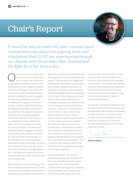# Chair's Report



*It would be easy to make this year's annual report commentary only about the ongoing trials and tribulations that CLNZ are experiencing through our dispute with Universities New Zealand and the fight for a fair licence fee.* 

ne could be quite cynical when one considers the substantial sum of money the universities are prepared to spend on what at face value appears to be a legally combative and evasive strategy on their part. The contribution of the publishing industry globally to Higher Education is gigantic and very few graduates would have completed their degrees without the support of finely crafted texts written by passionate educators and funded by publishers. The publishing industry has been one of the great enablers of education and the CLNZ licence is an integral part of that enablement. When put in the context of the value the license provides to students and academic faculty it beggars belief that we're locked in this process to defend our right to be fairly remunerated. In the broader picture of the operating expenditure of the universities, the sums are minuscule. One senses this is part of a thinly veiled anti-copyright agenda but in the absence of open and genuine communication from the universities we can only speculate.

Which leads me to the silver lining. At a time of adversity the Board and CEO have focused on the operation, considered the governance and asked the hard questions

around how well we are positioned to steer the organisation through these turbulent waters. This has lead us to engage with professionals and leaders in governance and strategic planning to enhance our skill levels as directors and articulate a compelling strategic plan that is appropriate for the times. The willingness each and every board member has shown to challenge our governance practices and look to develop and improve has been laudable. I'd also like to commend the CEO for the very active role she has played in these activities. The end result of this has seen the development of a very clear and focused strategic plan. We have also proposed to our shareholders a fundamental change to how the board is configured and once this is ratified we can look forward to bringing talented directors to the board from outside the publishing sector. This is critical to the ongoing health of the business and to successfully executing our strategic objectives.

The board has been very active in establishing work groups to deal with the array of initiatives that have been progressed. One of these was the Cultural Fund working group consisting of Sam Elworthy, Tony Simpson and the CEO Paula Browning. They have

reviewed the historical footprint of the fund and made recommendations for how the Cultural Fund will be managed into the future. The Cultural Fund remains critical for developing authors, publishers and educators and the work that has been done and recommendations made will continue to ensure it meets its constitutional purpose.

To conclude I would like to thank the CEO and staff of CLNZ for the dedication and professionalism that has been demonstrated throughout the year. I would also like to thank the Board members for their continued contribution to the sector through participating in one of its most important entities.

 $\alpha$ .

Adrian Keane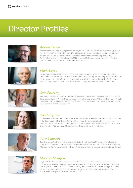# Director Profiles



### *Adrian Keane*

Adrian Keane started his publishing career in the early 90's in Sweden and Finland for US educational publisher Addison Wesley (Pearson). He then worked for Addison Wesley in Australia before returning to New Zealand. Mergers and acquisitions created Pearson Education whom he became the Managing Director of in 2007. Following Pearson's exit from New Zealand in 2013, he founded Edify Limited. Adrian is the current Chair of CLNZ and immediate past-president of the Publishers Association.



### *Mark Sayes*

Mark is Publisher and Managing Director of privately owned educational publisher, ESA Publications (NZ) Limited. ESA publishes a range of Study Guides and Workbooks, at primary and secondary school level, that meet the requirements of the New Zealand Curriculum and NCEA. Mark has been on the board of CLNZ for some years, including a number of years as Chairman. Mark has an ongoing interest in squash administration.



### *Sam Elworthy*

Sam went to university in Dunedin where he edited the student newspaper and wrote a book about student life, 'Ritual Song of Defiance: A Social History of Students at the University of Otago'. He spent fifteen years in the US, completing a Ph.D. in history. He was Editor-in-Chief at Princeton University Press. He lives in Devonport and is the Director of Auckland University Press.



### *Vanda Symon*

Vanda Symon is a Dunedin writer and has successfully published five Crime Fiction novels. She is a former Chair of the Otago Southland Branch of the NZSA and is still involved on an organisational level. Vanda had a former career in Pharmacy, co-owning community pharmacies, and also working in palliative care in Cranford Hospice. She is currently a Ph.D. candidate at the University of Otago, in Science Communication.





## *Tony Simpson*

Tony Simpson is a Wellington social and cultural historian. He is the author of fourteen published books and many articles and presentations both in New Zealand and internationally. His books include the award winning 'The Sugarbag Years' and most recently 'A Distant Feast', a social history of some aspects of food in New Zealand.

### *Stephen Stratford*

Stephen Stratford has published more than a dozen books, mostly non-fiction. Stephen works as a freelance book editor and runs the manuscript assessment service Write Right. As a journalist he has worked for Quote Unquote, Metro, Architecture NZ, the Listener and many other publications. He was a founding trustee of the Auckland Writers and Readers Festival and has been a judge of the Wattie Book Awards, the Montana Book Awards and the inaugural NZ Post Book Awards in 2010.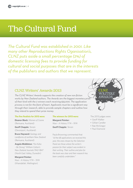# The Cultural Fund

*The Cultural Fund was established in 2001. Like many other Reproductions Rights Oganisation's, CLNZ puts aside a small percentage (2%) of domestic licensing fees to provide funding for cultural and social purposes that are in the interests of the publishers and authors that we represent.*

### CLNZ Writers' Awards 2013

*The CLNZ Writers' Awards supports the creation of new non-fiction works by New Zealand authors. The Awards are the biggest monetary prize of their kind with the 2 winners each receiving \$35,000. The application process is not for the faint of heart. Applicants must be a significant way through their research, able to provide sample chapters and outline how they intend to spend their prize money.*

#### **The five finalists for 2013 were:**

**Eleanor Black:** *Women of Cosme* (Remuera, Auckland)

**Geoff Chapple:** *Terrain* (Devonport, Auckland)

**Bruce Hayward:** *Geology and Landforms of northern New Zealand* (Remuera, Auckland)

**Angela Middleton:** *"Kia Kaha – Be Strong" William Cotton's New Zealand Journals 1942-1847* (North East Valley, Dunedin)

### **Margaret Pointer:**

*Niue – A History 1774 – 1974* (Khandallah, Wellington)

#### **The winners for 2013 were:**

**Margaret Pointer:** *Niue – A History 1774 – 1974*

**Geoff Chapple:** *Terrain*

Paula Browning commented that *"of the 68 applications we received this year, the ones chosen by the Selection Panel are those where the writer's passion for their subject was evident in their writing. Their outline and plan for the book was clear and their research has been carefully undertaken."*



The 2013 judges were:

- • Geoff Walker
- • Gillian Candler
- • Rae McGregor
- • Paul Diamond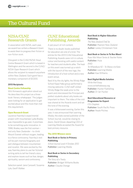### The Cultural Fund

### NZSA/CLNZ Research Grants

In association with NZSA, each year, we award two writers a Research Grant to assist them to progress their fiction or non-fiction work.

One grant is the CLNZ/NZSA Stout Centre Research Grant which is based in Wellington and the second is the CLNZ/ NZSA Open Research Grant which allows the recipient to research anywhere within New Zealand. Each grant has a monetary component of \$3,500.

#### **2013 Recipients**

#### **Stout Centre Fellowship**

Witi Ihimaera's application stood out. He describes this project as a threebook 'literary whakapapa'. The judges were looking for an application to get excited about and this more than met this requirement.

#### **Open Research Grant**

Laurence Fearnley's experimental project with mountaineer Lydia Bradey was impossible to go past. It promises to be something quite innovative. In 1988, Bradey was the first woman – and only New Zealander – to climb Mount Everest without oxygen, leading to a fierce controversy. Fearnley's text will be part memoir/biography and part dialogue between mountaineer and novelist. We were excited by the way Fearnley plans to use her fictional writing skills to tell her friend's story and explore issues such as fear, danger, spirituality, sexism and controversy.

Selection panel: Jane Carswell, Susanna Lyle, Geoff Walker.

### CLNZ Educational Publishing Awards

A pot pourri of rich content.

There is no doubt; books published for education are one of a kind. The entries for the 2013 CLNZ Educational Publishing Awards were rich in culture, colour and bursting with useful content for teachers and students alike. The heat on this event was turned up a notch with the launch of the new logo, the introduction of a host school and a new event venue.

Back lit by the city lights, the Windy Ridge School Kapa Haka group performed a moving welcome. CLNZ staff visited Windy Ridge the week prior to the event and interviewed the Principal and prefect students about why books are important to them. The video of the visit was shared at the Awards event and set the tone of the evening.

It was a bittersweet evening. Earlier this year, it was announced that Learning Media, the state owned publisher of the School Journal, would be closing its doors. David Glover, departing CEO of Learning Media accepted the Award for best primary resource.

#### **The 2013 Winners were:**

#### **Best Book or Series in Primary Publishing**

*School Journal Level 4 October 2012* Publisher: Learning Media

#### **Best Book or Series in Secondary Publishing**

*The Story of a Treaty* Publisher: Bridget Williams Books Author: Claudia Orange

#### **Best Book in Higher Education Publishing**

*The New Zealand Chef 3e* Publisher: Pearson New Zealand Author: Lesley Christensen-Yule

#### **Best Book or Series in Te Reo Maori**

*Puao Wai Maori Series & Teacher Notes* Publisher: Huia AND *Te Wharekura 92 – Te Mana o te Kata* Publisher: Learning Media Author: Kaa Williams

#### **Best Digital Media Solution**

*Write that Essay* www.writethatessay.org Publisher: Hunter Publishing Author: Dr Ian Hunter

#### **Best Educational Resource or Programme for Export**

*CSI: Chapters* Publisher: South Pacific Press Author: Neale Pitches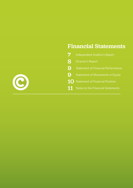# Financial Statements

| $\boldsymbol{7}$ | Independent Auditor's Report              |
|------------------|-------------------------------------------|
| 8                | Director's Report                         |
| 9                | <b>Statement of Financial Performance</b> |
| 9                | <b>Statement of Movements in Equity</b>   |
| 10               | <b>Statement of Financial Position</b>    |
| 11               | Notes to the Financial Statements         |

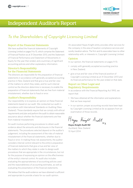

## Independent Auditor's Report

### *To the Shareholders of Copyright Licensing Limited*

#### Report of the Financial Statements

We have audited the financial statements of Copyright Licensing Limited on pages 9 to 15, which comprise the Statement of Financial Position as at 31 December 2013, and the Statement of Financial Performance and Statement of Movements in Equity for the year then ended, and a summary of significant accounting policies and other explanatory information.

#### Director's Responsibility for the Financial Statements

The directors are responsible for the preparation of financial statements in accordance with generally accepted accounting practice in New Zealand and that give a true and fair view of the matters to which they relate, and for such internal control as the directors determine is necessary to enable the preparation of financial statements that are free from material misstatement, whether due to fraud or error.

#### Auditor's Responsibility

Our responsibility is to express an opinion on these financial statements based on our audit. We conducted our audit in accordance with International Standards on Auditing (New Zealand). Those standards require that we comply with ethical requirements and plan and perform the audit to obtain reasonable assurance about whether the financial statements are free from material misstatement.

An audit involves performing procedures to obtain audit evidence about the amounts and disclosures in the financial statements. The procedures selected depend on the auditor's judgement, including the assessment of the risks of material misstatement of the financial statements, whether due to fraud or error. In making those risk assessments, the auditor considers internal control relevant to the entity's preparation of financial statements that give a true and fair view of the matters to which they relate in order to design audit procedures that are appropriate in the circumstances, but not for the purpose of expressing an opinion on the effectiveness of the entity's internal control. An audit also includes evaluating the appropriateness of accounting policies used and the reasonableness of accounting estimates, as well as evaluating the presentation of the financial statements.

We believe that the audit evidence we have obtained is sufficient and appropriate to provide a basis for our audit opinion.

An associated Hayes Knight entity provides other services for the company in the area of taxation compliance services and sundry taxation advice. The firm and its associates have no other relationship with, or interests in, Copyright Licensing Limited.

#### **Opinion**

In our opinion, the financial statements on pages 9-15:

- comply with generally accepted accounting practice in New Zealand;
- • give a true and fair view of the financial position of Copyright Licensing Limited as at 31 December 2013 and its financial performance for the year ended on that date.

#### Report on Other Legal and Regulatory Requirements

In accordance with the Financial Reporting Act 1993, we report that:

- We have obtained all the information and explanations that we have required.
- In our opinion, proper accounting records have been kept by Copyright Licensing Limited as far as appears from an examination of those records.

**Hayes Knight Audit NZ**

Auckland, New Zealand 10 April 2014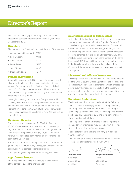### Director's Report

The Directors of Copyright Licensing Ltd are pleased to present the company's report for the financial year ended 31 December 2013.

#### **Directors**

The names of the Directors in office at the end of the year are:

- Adrian Keane (Chairman) PANZ
- Sam Elworthy PANZ
- Vanda Symon NZSA
- Mark Sayes PANZ
- Tony Simpson NZSA
- Stephen Stratford NZSA

#### Principal Activities

Copyright Licensing Ltd (CLNZ) is part of a global network of copyright collectives that provide centralised licensing services for the reproduction of extracts from published works. CLNZ makes it easier for users of books, journals and periodicals to gain clearance to copy from a worldwide repertoire of literary works.

Copyright Licensing Ltd is a non-profit organisation. All licensing revenue is returned to rightsholders after deduction of operating costs and a contribution of 2% of domestic licensing revenue to the CLNZ Cultural Fund. The Cultural Fund is used to recognise excellence in New Zealand writing and publishing.

#### Operating Results

Gross revenue for the year was \$6,080,851 of which \$773,737 was received from overseas reproduction rights organisations for distribution to New Zealand rightsholders. Domestic licensing revenue was \$4,976,334. Additional revenue was generated from interest on investments and administrative services.

After the deduction of operating costs and a contribution of \$99,527 to the Cultural Fund, \$4,085,686 was allocated for distribution from domestic licensing revenue.

Total operating costs represented 19.2% of gross revenue.

#### Significant Changes

There has been no change in the nature of the business of the company during the financial year.

#### Events Subsequent to Balance Date

At the date of signing these financial statements the company was party to a reference before the Copyright Tribunal for a new licensing scheme with Universities New Zealand. All universities and institutes of technology and polytechnics are continuing to operate under the terms of their respective licensing schemes that expired on 31 December 2012. These institutions are continuing to pay licensing fees on the same basis as in 2012. There will therefore be no impact on income in the 2014 financial year, however the decision of the Copyright Tribunal, when received, will determine income for future years.

#### Directors' and Officers' Insurance

The company has paid a premium of \$5,785 to insure directors and the Chief Executive Officer against liabilities for costs and expenses incurred by them in defending any legal proceedings arising out of their conduct while acting in the capacity of director or officer of the company other than conduct involving a willful breach of duty in relation to the company.

#### Directors' Declaration

The Directors of the company declare that the following financial statements comply with Accounting Standards, the Companies Act 1993 and the Financial Reporting Act 1993 and give a true and fair view of the company's financial position as at 31 December 2013 and of its performance for the year ended on that date.

The company has taken advantage of the exemptions to exclude certain information required in Section 211 (1)(a) (ii),(g), (h) and (j) of the Companies Act.

The Directors confirm that the company is in a sound financial position.

This Declaration is made in accordance with a resolution of the Board of Directors dated 11 April 2014.

Chairman Director 26 March 2014 31 March 2014 Auckland Auckland

**Adrian Keane Stephen Stratford**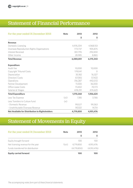## Statement of Financial Performance

| For the year ended 31 December 2013                    | <b>Note</b> | 2013      | 2012      |
|--------------------------------------------------------|-------------|-----------|-----------|
|                                                        |             | \$        | \$        |
| <b>Revenue</b>                                         |             |           |           |
| Domestic Licensing                                     |             | 4,976,334 | 4,968,153 |
| Overseas Reproduction Rights Organisations             |             | 773,737   | 905,875   |
| Interest Received                                      |             | 301,795   | 292,450   |
| Other Income                                           |             | 28,985    | 8,865     |
| <b>Total Revenue</b>                                   |             | 6,080,851 | 6,175,343 |
| <b>Expenditure</b>                                     |             |           |           |
| Audit Fee                                              |             | 10,000    | 10,000    |
| Copyright Tribunal Costs                               |             | 179,041   | $\bigcap$ |
| Depreciation                                           |             | 35,182    | 16,327    |
| Directors' Costs                                       |             | 67.065    | 57,422    |
| Operations                                             |             | 316,287   | 442,072   |
| Partner Development                                    |             | 11,000    | 36,000    |
| Office Lease Costs                                     |             | 73,402    | 70,173    |
| Salaries & Wages                                       |             | 478,291   | 474,629   |
| <b>Total Expenditure</b>                               |             | 1,170,268 | 1,106,624 |
| Less Tax Expense                                       | (vii)       | 1,185     | 3,766     |
| Less Transfers to Culture Fund                         | (xi)        |           |           |
| - Domestic Revenue                                     |             | 99,527    | 99,363    |
| - Unattributable Overseas Revenue                      |             | 90,021    | 14,114    |
| <b>Net Available for Distribution to Rightsholders</b> |             | 4,719,850 | 4,951,476 |

# Statement of Movements in Equity

| For the year ended 31 December 2013 | <b>Note</b> | 2013        | 2012        |
|-------------------------------------|-------------|-------------|-------------|
|                                     |             | S           |             |
| Equity brought forward              |             | 100         | 100         |
| Net licensing revenue for the year  | 1(xii)      | 4,719,850   | 4.951.476   |
| Funds transferred for distribution  |             | (4,719,850) | (4.951.476) |
| <b>Equity carried forward</b>       |             | 100         | 100         |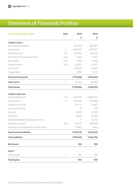# Statement of Financial Position

| As at 31 December 2013                     | <b>Note</b>    | 2013      | 2012      |
|--------------------------------------------|----------------|-----------|-----------|
|                                            |                | \$        | \$        |
| <b>CURRENT ASSETS</b>                      |                |           |           |
| Cash and bank balance                      |                | 525,452   | 280,260   |
| Investments                                | $\overline{2}$ | 6,561,451 | 6,511,817 |
| Indemnity Fund                             | 1(x)           | 353,961   | 342,210   |
| South Pacific Development Fund             | 1(xi)          | 12,154    | 11,750    |
| Receivables                                | 1(vi)          | 77,811    | 5,663     |
| Taxation refund                            | 1(vii)         | 60,102    | 54,201    |
| GST refund                                 |                | 120,662   | 166,811   |
| Prepayments                                |                | 7,995     | 11,132    |
| <b>Total Current Assets</b>                |                | 7,719,588 | 7,383,844 |
| <b>FIXED ASSETS</b>                        | 3              | 59,240    | 84,488    |
| <b>Total Assets</b>                        |                | 7,778,828 | 7,468,332 |
| <b>CURRENT LIABILITIES</b>                 |                |           |           |
| Distributable Funds                        | 1(xii)         | 7,132,909 | 6,800,394 |
| Cultural Fund                              | 4              | 330,783   | 226,985   |
| Holiday pay accrual                        |                | 24,775    | 25,365    |
| Income in Advance                          |                | $\circ$   | 100       |
| Accruals                                   |                | 47,961    | 21,743    |
| PAYE Due                                   |                | 16,641    | 16,069    |
| Digital Publishing NZ Clearing Account     |                | $\circ$   | 16,678    |
| Indemnity provision                        | 1(x)           | 213,177   | 348,906   |
| Provision for Development in South Pacific |                | 12,482    | 11,992    |
| <b>Total Current Liabilities</b>           |                | 7,778,728 | 7,468,232 |
| <b>Total Liabilities</b>                   |                | 7,778,728 | 7,468,232 |
| <b>Net Assets</b>                          |                | 100       | 100       |
| <b>EQUITY</b>                              |                |           |           |
| Share capital                              | 7              | 100       | 100       |
| <b>Total Equity</b>                        |                | 100       | 100       |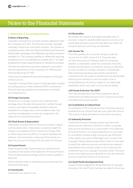#### 1. Statement of Accounting Policies

#### **(i) Basis of Reporting**

Copyright Licensing Ltd is a private company registered under the Companies Act 1993. The Directors consider Copyright Licensing Limited to be a non-profit company. The company is a qualifying entity within the Differential Reporting Framework and has taken advantage of the differential reporting concessions available to it. The company qualifies for differential reporting exemptions as it is not publically accountable and is "not large" as defined by the New Zealand Institute of Chartered Accountants.

The financial statements have been prepared in accordance with the requirements of the Companies Act 1993 and the Financial Reporting Act 1993.

These financial statements have been prepared on the basis of historical cost.

Copyright Licensing Ltd has chosen to adopt generally accepted accounting practice in New Zealand (GAAP) as defined by financial reporting standards and statements of standard accounting practice.

#### **(ii) Foreign Currencies**

Transactions in a foreign currency are converted at the exchange rate at the date the transaction is settled. Foreign currency receivables and payables at balance date are translated at exchange rates current at balance date. Any resulting exchange gains or losses are recognised in the Statement of Financial Performance.

#### **(iii) Fixed Assets & Depreciation**

Fixed assets costing \$1,000 or more are recorded at original cost less depreciation. Depreciation, using the straight line method, is calculated at 15% on Furniture & Fittings, 39% on Office Equipment and 40% on Computer hardware and software. Gains and losses on disposal of fixed assets are taken into account in arriving at the net surplus for the year.

#### **(iv) Leased Assets**

Assets acquired under finance leases are capitalised and included as fixed assets in the Statement of Financial Position. They are depreciated accordingly and any interest payable is expensed.

Assets obtained under an operating lease are expensed over the period of the lease.

#### **(v) Investments**

Investments are valued at cost.

#### **(vi) Receivables**

Receivables are valued at anticipated realisable value. A provision is made for doubtful debts based on a review of all outstanding amounts at year end. Bad debts are written off during the period in which they are identified.

#### **(vii) Income Tax**

The entity qualifies as a non-profit company under the Income Tax Act 2007, section DV 8. The entity does not have the purpose of making a profit for a proprietor, member or shareholder. Under the constitution, the entity prohibits the distribution of dividends, bonuses or otherwise by way of profits to a member, proprietor or shareholder. After expensing operating costs and the cultural fund contribution, the net surplus is transferred to the distributable funds account resulting in a zero net surplus. Due to timing differences, the entity is subject to non-deductible expenditure which may result in an income tax liability.

#### **(viii) Goods & Services Tax (GST)**

The financial statements have been prepared so that all components are stated exclusive of GST except for accounts receivable and accounts payable.

#### **(ix) Contribution to Cultural Fund**

A contribution of 2% of annual domestic licensing revenue is transferred to the Cultural Fund each year (refer also Note 4). This amount is deducted before arriving at the net surplus.

#### **(x) Indemnity Provision**

Unallocated overseas licensing revenue was historically placed into the Indemnity Fund which is held in a separate bank account and shown as a current asset in the Statement of Financial Position. A corresponding amount is accounted for as a liability at balance date. During the year \$150,000 of this liability was used to offset legal costs incurred in the Copyright Tribunal reference described in Note 9. Funds held to satisfy the indemnity provision are held as term deposits and therefore have not been broken so as to maximise the investment returns to Copyright Licensing Limited. The result at year end is bank accounts identified to cover the indemnity provision exceed the amount of the provision.

#### **(xi) South Pacific Development Fund**

Unspent money budgeted for the development of copyright licensing in the South Pacific has been set aside for future use.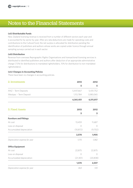#### **(xii) Distributable Funds**

New Zealand licensing revenue is received from a number of different sectors each year and is accounted for by sector by year. After pro rata deductions are made for operating costs and contributions to the Cultural Fund, the net surplus is allocated for distribution pending the identification of publishers and authors whose works are copied under licence through annual sampling surveys carried out in each sector.

#### **(xiii) Distribution**

Revenue from overseas Reprographic Rights Organisations and transactional licensing services is distributed to identified publishers and authors after deduction of an appropriate administrative charge (7.5% for distributions to mandated rightsholders, 15% for distribution to non-mandated rightsholders).

#### **(xiv) Changes in Accounting Policies**

There have been no changes in accounting policies.

| 2. Investments                | 2013       | 2012       |
|-------------------------------|------------|------------|
|                               | \$         | \$         |
| ANZ - Term Deposits           | 5,447,667  | 5,431,752  |
| Westpac - Term Deposit        | 1,113,784  | 1,080,065  |
|                               | 6,561,451  | 6,511,817  |
| 3. Fixed Assets               | 2013       | 2012       |
|                               | \$         | \$         |
| <b>Furniture and Fittings</b> |            |            |
| At cost                       | 13,459     | 11,687     |
| Loss on disposal              | $\bigcirc$ | $\bigcirc$ |
| Accumulated depreciation      | (10, 872)  | (9,702)    |
|                               | 2,578      | 1,905      |
| Depreciation expense for year | 1,170      | 1,082      |
| <b>Office Equipment</b>       |            |            |
| At cost                       | 22,875     | 22,875     |
| Loss on disposal              | $\circ$    | $\circ$    |
| Accumulated depreciation      | (21, 301)  | (20, 838)  |
|                               | 1,574      | 2,037      |
| Depreciation expense for year | 463        | 510        |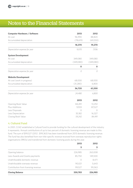| <b>Computer Hardware / Software</b> | 2013      | 2012        |
|-------------------------------------|-----------|-------------|
| At cost                             | 96,990    | 88,820      |
| Accumulated depreciation            | (78, 619) | (69, 550)   |
|                                     | 18,370    | 19,270      |
| Depreciation expense for year       | 9,070     | 7,936       |
| <b>System Development</b>           |           |             |
| At cost                             | 349,080   | 349,080     |
| Accumulated depreciation            | (349,080) | (349,080)   |
|                                     | $\bf{0}$  | $\mathbf 0$ |
| Depreciation expense for year       | 0         | $\bigcirc$  |
| <b>Website Development</b>          |           |             |
| At cost (work in progress)          | 68,000    | 68,000      |
| Accumulated depreciation            | (31, 280) | 6,800       |
|                                     | 36,720    | 61,200      |
| Depreciation expense for year       | 24,480    | 6,800       |
|                                     | 2013      | 2012        |
| Opening Book Value                  | 84,491    | 13,292      |
| Plus Additions                      | 9,933     | 87,527      |
| Less Disposals                      | $\bigcap$ | $\bigcap$   |
| Less Depreciation                   | 35,182    | 16,327      |
| Closing Book Value                  | 59,242    | 84,491      |

#### 4. Cultural Fund

In 2001, CLNZ established a Cultural Fund to provide funding for the cultural development of the industry it represents. Annual contributions of up to two percent of domestic licensing revenue are made to this fund. The sum of \$99,527 (2012 : \$99,363) has been transferred from 2013 domestic licensing revenue. The fund has also benefited from non-title-specific revenue received from overseas reproduction rights organisations (RROs) and transferred from domestic licensing pools during the year.

|                                     | 2013<br>\$ | 2012<br>\$ |
|-------------------------------------|------------|------------|
|                                     |            |            |
| Opening balance                     | 226,985    | 263,008    |
| Less Awards and Grants payments     | 85,750     | 149,500    |
| Unattributable domestic revenue     | 0          | 8,471      |
| Unattributable overseas revenue     | 90.021     | 5,643      |
| Contribution from licensing revenue | 99,527     | 99,363     |
| <b>Closing Balance</b>              | 330,783    | 226,985    |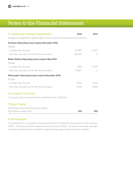| 5. Capital and Leasing Commitments                                                       | 2013    | 2012       |
|------------------------------------------------------------------------------------------|---------|------------|
| Obligations payable after balance date on financial and operating leases are as follows: |         |            |
| <b>Premises (Operating Lease) expires November 2016</b>                                  |         |            |
| Payable                                                                                  |         |            |
| - not later than one year                                                                | 57,480  | 61,367     |
| - later than one year but not later than five years                                      | 105,540 | $\bigcirc$ |
| <b>Motor Vehicle (Operating Lease) expires May 2016</b>                                  |         |            |
| Payable                                                                                  |         |            |
| - not later than one year                                                                | 7,956   | 3,695      |
| - later than one year but not later than five years                                      | 10,807  | $\bigcap$  |
| <b>Photocopier (Operating Lease) expires November 2015</b>                               |         |            |
| Payable                                                                                  |         |            |
| - not later than one year                                                                | 4,956   | 3,318      |
| - later than one year but not later than five years                                      | 4,543   | 6,082      |
| 6. Company Visa Card                                                                     |         |            |
| A Company Visa card used by senior staff has a limit of \$10,000.                        |         |            |
| 7. Share Capital                                                                         |         |            |
| Authorised, issued and fully paid up capital                                             |         |            |
| 100 Ordinary shares of \$1                                                               | 100     | 100        |

#### 8. Shareholders

The shareholders in Copyright Licensing Limited are the Publishers Association of New Zealand (PANZ - 50 shares) and New Zealand Society of Authors (NZSA – 50 shares). Each year Copyright Licensing Limited funds are invested in support of these organisations and their members.